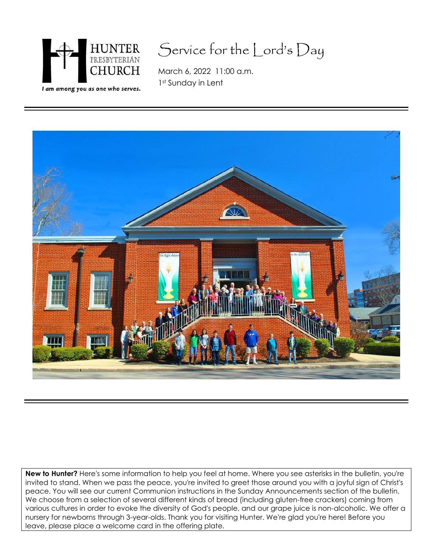

# Service for the Lord's Day

March 6, 2022 11:00 a.m. 1st Sunday in Lent



**New to Hunter?** Here's some information to help you feel at home. Where you see asterisks in the bulletin, you're invited to stand. When we pass the peace, you're invited to greet those around you with a joyful sign of Christ's peace. You will see our current Communion instructions in the Sunday Announcements section of the bulletin. We choose from a selection of several different kinds of bread (including gluten-free crackers) coming from various cultures in order to evoke the diversity of God's people, and our grape juice is non-alcoholic. We offer a nursery for newborns through 3-year-olds. Thank you for visiting Hunter. We're glad you're here! Before you leave, please place a welcome card in the offering plate.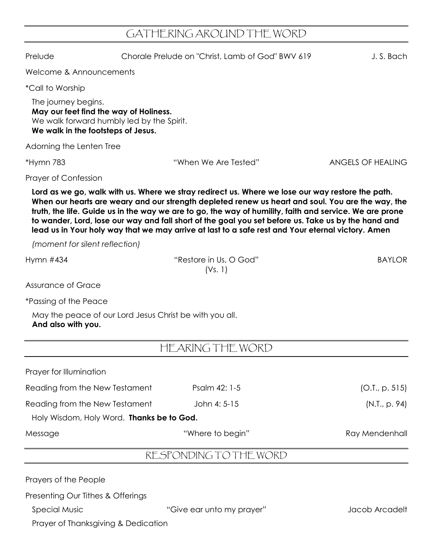## GATHERING AROUND THE WORD

|                                                                                                                                                  | LUI WYSTA WYSTAI YP                                                                                                                                                                                                                                                                                                                                                                                                                                                                                                          |                   |
|--------------------------------------------------------------------------------------------------------------------------------------------------|------------------------------------------------------------------------------------------------------------------------------------------------------------------------------------------------------------------------------------------------------------------------------------------------------------------------------------------------------------------------------------------------------------------------------------------------------------------------------------------------------------------------------|-------------------|
| Prelude                                                                                                                                          | Chorale Prelude on "Christ, Lamb of God" BWV 619                                                                                                                                                                                                                                                                                                                                                                                                                                                                             | J.S. Bach         |
| Welcome & Announcements                                                                                                                          |                                                                                                                                                                                                                                                                                                                                                                                                                                                                                                                              |                   |
| <i>*Call to Worship</i>                                                                                                                          |                                                                                                                                                                                                                                                                                                                                                                                                                                                                                                                              |                   |
| The journey begins.<br>May our feet find the way of Holiness.<br>We walk forward humbly led by the Spirit.<br>We walk in the footsteps of Jesus. |                                                                                                                                                                                                                                                                                                                                                                                                                                                                                                                              |                   |
| Adorning the Lenten Tree                                                                                                                         |                                                                                                                                                                                                                                                                                                                                                                                                                                                                                                                              |                   |
| *Hymn 783                                                                                                                                        | "When We Are Tested"                                                                                                                                                                                                                                                                                                                                                                                                                                                                                                         | ANGELS OF HEALING |
| <b>Prayer of Confession</b>                                                                                                                      |                                                                                                                                                                                                                                                                                                                                                                                                                                                                                                                              |                   |
|                                                                                                                                                  | Lord as we go, walk with us. Where we stray redirect us. Where we lose our way restore the path.<br>When our hearts are weary and our strength depleted renew us heart and soul. You are the way, the<br>truth, the life. Guide us in the way we are to go, the way of humility, faith and service. We are prone<br>to wander, Lord, lose our way and fall short of the goal you set before us. Take us by the hand and<br>lead us in Your holy way that we may arrive at last to a safe rest and Your eternal victory. Amen |                   |
| (moment for silent reflection)                                                                                                                   |                                                                                                                                                                                                                                                                                                                                                                                                                                                                                                                              |                   |
| Hymn $#434$                                                                                                                                      | "Restore in Us, O God"<br>(Vs. 1)                                                                                                                                                                                                                                                                                                                                                                                                                                                                                            | <b>BAYLOR</b>     |
| <b>Assurance of Grace</b>                                                                                                                        |                                                                                                                                                                                                                                                                                                                                                                                                                                                                                                                              |                   |
| <i>*Passing of the Peace</i>                                                                                                                     |                                                                                                                                                                                                                                                                                                                                                                                                                                                                                                                              |                   |
| May the peace of our Lord Jesus Christ be with you all.<br>And also with you.                                                                    |                                                                                                                                                                                                                                                                                                                                                                                                                                                                                                                              |                   |
|                                                                                                                                                  | HEARING THE WORD                                                                                                                                                                                                                                                                                                                                                                                                                                                                                                             |                   |
| Prayer for Illumination                                                                                                                          |                                                                                                                                                                                                                                                                                                                                                                                                                                                                                                                              |                   |
| Reading from the New Testament                                                                                                                   | Psalm 42: 1-5                                                                                                                                                                                                                                                                                                                                                                                                                                                                                                                | (O.I., p. 515)    |
| Reading from the New Testament                                                                                                                   | John 4: 5-15                                                                                                                                                                                                                                                                                                                                                                                                                                                                                                                 | (N.T., p. 94)     |
| Holy Wisdom, Holy Word. Thanks be to God.                                                                                                        |                                                                                                                                                                                                                                                                                                                                                                                                                                                                                                                              |                   |
| Message                                                                                                                                          | "Where to begin"                                                                                                                                                                                                                                                                                                                                                                                                                                                                                                             | Ray Mendenhall    |
|                                                                                                                                                  | RESPONDING TO THE WORD                                                                                                                                                                                                                                                                                                                                                                                                                                                                                                       |                   |
| Prayers of the People                                                                                                                            |                                                                                                                                                                                                                                                                                                                                                                                                                                                                                                                              |                   |
| Presenting Our Tithes & Offerings                                                                                                                |                                                                                                                                                                                                                                                                                                                                                                                                                                                                                                                              |                   |
| <b>Special Music</b>                                                                                                                             | "Give ear unto my prayer"                                                                                                                                                                                                                                                                                                                                                                                                                                                                                                    | Jacob Arcadelt    |

Prayer of Thanksgiving & Dedication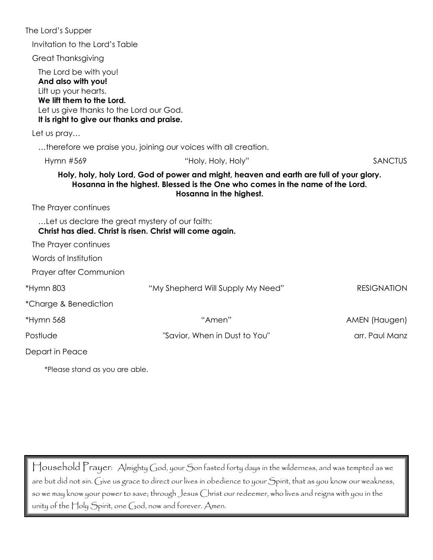| The Lord's Supper                                                                                                                                                                         |                                                                                                                                                                       |                    |
|-------------------------------------------------------------------------------------------------------------------------------------------------------------------------------------------|-----------------------------------------------------------------------------------------------------------------------------------------------------------------------|--------------------|
| Invitation to the Lord's Table                                                                                                                                                            |                                                                                                                                                                       |                    |
| <b>Great Thanksgiving</b>                                                                                                                                                                 |                                                                                                                                                                       |                    |
| The Lord be with you!<br>And also with you!<br>Lift up your hearts.<br>We lift them to the Lord.<br>Let us give thanks to the Lord our God.<br>It is right to give our thanks and praise. |                                                                                                                                                                       |                    |
| Let us pray                                                                                                                                                                               |                                                                                                                                                                       |                    |
|                                                                                                                                                                                           | therefore we praise you, joining our voices with all creation.                                                                                                        |                    |
| Hymn #569                                                                                                                                                                                 | "Holy, Holy, Holy"                                                                                                                                                    | <b>SANCTUS</b>     |
| The Prayer continues<br>Let us declare the great mystery of our faith:                                                                                                                    | Hosanna in the highest. Blessed is the One who comes in the name of the Lord.<br>Hosanna in the highest.<br>Christ has died. Christ is risen. Christ will come again. |                    |
| The Prayer continues                                                                                                                                                                      |                                                                                                                                                                       |                    |
| Words of Institution                                                                                                                                                                      |                                                                                                                                                                       |                    |
| Prayer after Communion                                                                                                                                                                    |                                                                                                                                                                       |                    |
| *Hymn 803                                                                                                                                                                                 | "My Shepherd Will Supply My Need"                                                                                                                                     | <b>RESIGNATION</b> |
| *Charge & Benediction                                                                                                                                                                     |                                                                                                                                                                       |                    |
| *Hymn 568                                                                                                                                                                                 | "Amen"                                                                                                                                                                | AMEN (Haugen)      |
| Postlude                                                                                                                                                                                  | "Savior, When in Dust to You"                                                                                                                                         | arr. Paul Manz     |
| Depart in Peace                                                                                                                                                                           |                                                                                                                                                                       |                    |
| *Please stand as you are able.                                                                                                                                                            |                                                                                                                                                                       |                    |

Household Prayer: Almighty God, your Son fasted forty days in the wilderness, and was tempted as we are but did not sin. Give us grace to direct our lives in obedience to your Spirit, that as you know our weakness, so we may know your power to save; through Jesus Christ our redeemer, who lives and reigns with you in the unity of the Holy Spirit, one God, now and forever. Amen.